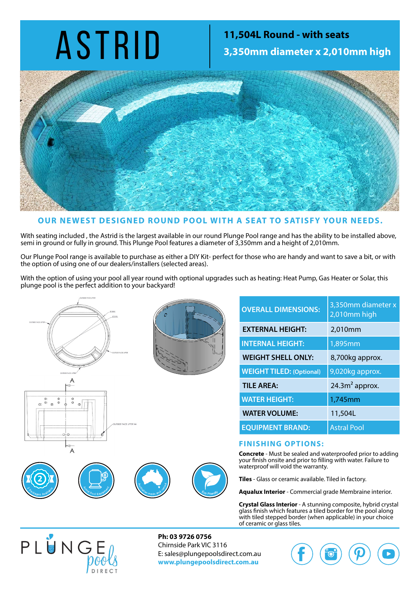### ASTRID **11,504L Round - with seats**<br>3,350mm diameter x 2,010 **3,350mm diameter x 2,010mm high**



### **OUR NEWEST DESIGNED ROUND POOL WITH A SEAT TO SATISFY YOUR NEEDS.**

With seating included , the Astrid is the largest available in our round Plunge Pool range and has the ability to be installed above, semi in ground or fully in ground. This Plunge Pool features a diameter of 3,350mm and a height of 2,010mm.

Our Plunge Pool range is available to purchase as either a DIY Kit- perfect for those who are handy and want to save a bit, or with the option of using one of our dealers/installers (selected areas).

With the option of using your pool all year round with optional upgrades such as heating: Heat Pump, Gas Heater or Solar, this plunge pool is the perfect addition to your backyard!





 $U_1$  - 30  $V_2$ 

PLUNGE POOLS DIRECT Unit 26 - 30 Ramset Drive Chirnside Park 3116, Victoria, 3153 Australia Ph. 1300 826 538 ww.plungepoolsdirect.com A Division of Neilsen Industries Australia Pty. Ltd .

www.plungepoolsdirect.com.au A Division of Neilsen Industr.ies Australia Pty. Ltd

Chirnside Park 3116

| <b>OVERALL DIMENSIONS:</b>      | 3,350mm diameter x<br>2,010mm high |  |
|---------------------------------|------------------------------------|--|
| <b>EXTERNAL HEIGHT:</b>         | 2,010mm                            |  |
| <b>INTERNAL HEIGHT:</b>         | 1,895mm                            |  |
| <b>WEIGHT SHELL ONLY:</b>       | 8,700kg approx.                    |  |
| <b>WEIGHT TILED: (Optional)</b> | 9,020kg approx.                    |  |
| <b>TILE AREA:</b>               | $24.3m2$ approx.                   |  |
| <b>WATER HEIGHT:</b>            | 1,745mm                            |  |
| <b>WATER VOLUME:</b>            | 11,504L                            |  |
| <b>EQUIPMENT BRAND:</b>         | <b>Astral Pool</b>                 |  |

#### **FINISHING OPTIONS:**

**Concrete** - Must be sealed and waterproofed prior to adding your finish onsite and prior to filling with water. Failure to waterproof will void the warranty.

**Tiles** - Glass or ceramic available. Tiled in factory.

**Aqualux Interior** - Commercial grade Membraine interior.

**Crystal Glass Interior** - A stunning composite, hybrid crystal glass finish which features a tiled border for the pool along with tiled stepped border (when applicable) in your choice of ceramic or glass tiles.



 $\overline{A}$ 

 $\frac{0}{0}$ 

**2**

 $\alpha$ 

**2**

**Ph: 03 9726 0756** Chirnside Park VIC 3116 E: sales@plungepoolsdirect.com.au **www.plungepoolsdirect.com.au**